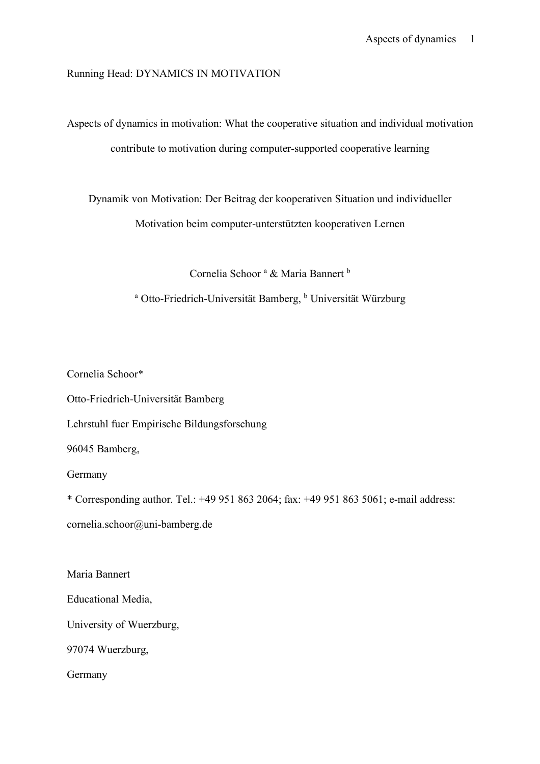Running Head: DYNAMICS IN MOTIVATION

Aspects of dynamics in motivation: What the cooperative situation and individual motivation contribute to motivation during computer-supported cooperative learning

Dynamik von Motivation: Der Beitrag der kooperativen Situation und individueller Motivation beim computer-unterstützten kooperativen Lernen

Cornelia Schoor<sup>a</sup> & Maria Bannert<sup>b</sup>

<sup>a</sup> Otto-Friedrich-Universität Bamberg, <sup>b</sup> Universität Würzburg

Cornelia Schoor\*

Otto-Friedrich-Universität Bamberg

Lehrstuhl fuer Empirische Bildungsforschung

96045 Bamberg,

Germany

\* Corresponding author. Tel.: +49 951 863 2064; fax: +49 951 863 5061; e-mail address:

cornelia.schoor@uni-bamberg.de

Maria Bannert

Educational Media,

University of Wuerzburg,

97074 Wuerzburg,

Germany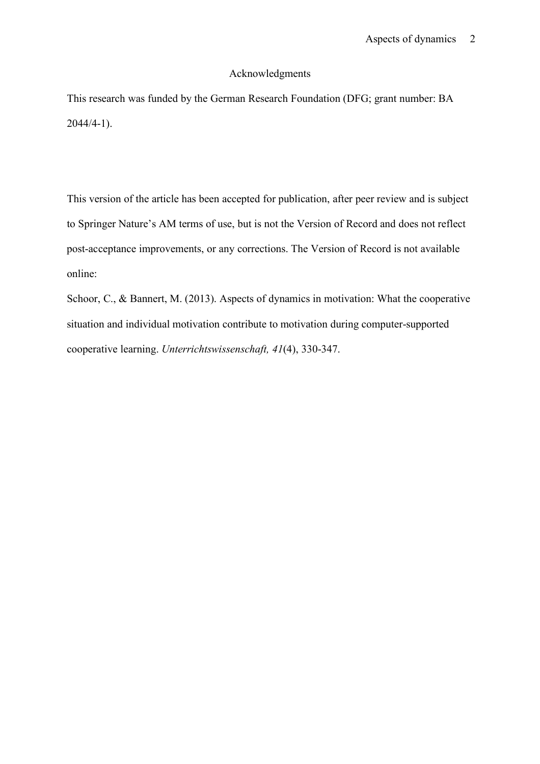## Acknowledgments

This research was funded by the German Research Foundation (DFG; grant number: BA 2044/4-1).

This version of the article has been accepted for publication, after peer review and is subject to Springer Nature's AM terms of use, but is not the Version of Record and does not reflect post-acceptance improvements, or any corrections. The Version of Record is not available online:

Schoor, C., & Bannert, M. (2013). Aspects of dynamics in motivation: What the cooperative situation and individual motivation contribute to motivation during computer-supported cooperative learning. *Unterrichtswissenschaft, 41*(4), 330-347.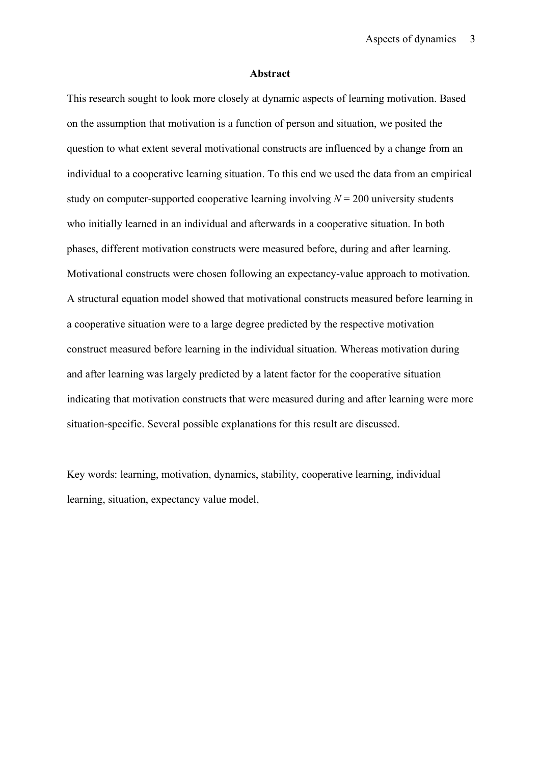#### **Abstract**

This research sought to look more closely at dynamic aspects of learning motivation. Based on the assumption that motivation is a function of person and situation, we posited the question to what extent several motivational constructs are influenced by a change from an individual to a cooperative learning situation. To this end we used the data from an empirical study on computer-supported cooperative learning involving  $N = 200$  university students who initially learned in an individual and afterwards in a cooperative situation. In both phases, different motivation constructs were measured before, during and after learning. Motivational constructs were chosen following an expectancy-value approach to motivation. A structural equation model showed that motivational constructs measured before learning in a cooperative situation were to a large degree predicted by the respective motivation construct measured before learning in the individual situation. Whereas motivation during and after learning was largely predicted by a latent factor for the cooperative situation indicating that motivation constructs that were measured during and after learning were more situation-specific. Several possible explanations for this result are discussed.

Key words: learning, motivation, dynamics, stability, cooperative learning, individual learning, situation, expectancy value model,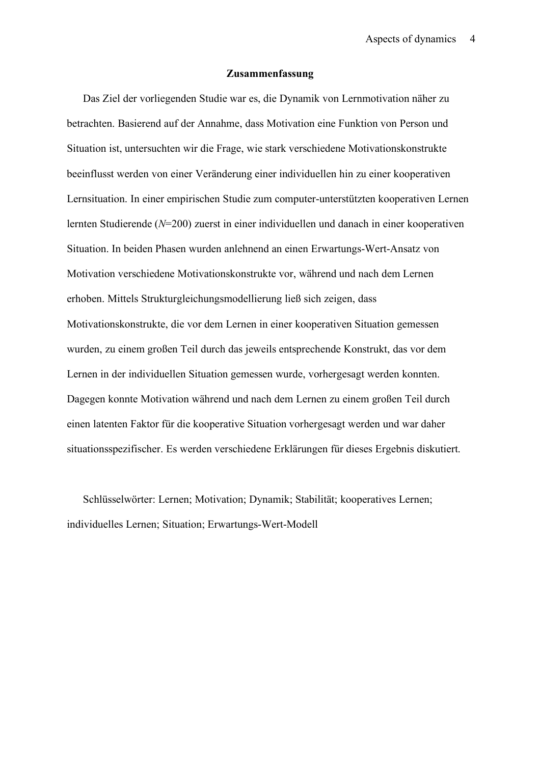#### **Zusammenfassung**

Das Ziel der vorliegenden Studie war es, die Dynamik von Lernmotivation näher zu betrachten. Basierend auf der Annahme, dass Motivation eine Funktion von Person und Situation ist, untersuchten wir die Frage, wie stark verschiedene Motivationskonstrukte beeinflusst werden von einer Veränderung einer individuellen hin zu einer kooperativen Lernsituation. In einer empirischen Studie zum computer-unterstützten kooperativen Lernen lernten Studierende (*N*=200) zuerst in einer individuellen und danach in einer kooperativen Situation. In beiden Phasen wurden anlehnend an einen Erwartungs-Wert-Ansatz von Motivation verschiedene Motivationskonstrukte vor, während und nach dem Lernen erhoben. Mittels Strukturgleichungsmodellierung ließ sich zeigen, dass Motivationskonstrukte, die vor dem Lernen in einer kooperativen Situation gemessen wurden, zu einem großen Teil durch das jeweils entsprechende Konstrukt, das vor dem Lernen in der individuellen Situation gemessen wurde, vorhergesagt werden konnten. Dagegen konnte Motivation während und nach dem Lernen zu einem großen Teil durch einen latenten Faktor für die kooperative Situation vorhergesagt werden und war daher situationsspezifischer. Es werden verschiedene Erklärungen für dieses Ergebnis diskutiert.

Schlüsselwörter: Lernen; Motivation; Dynamik; Stabilität; kooperatives Lernen; individuelles Lernen; Situation; Erwartungs-Wert-Modell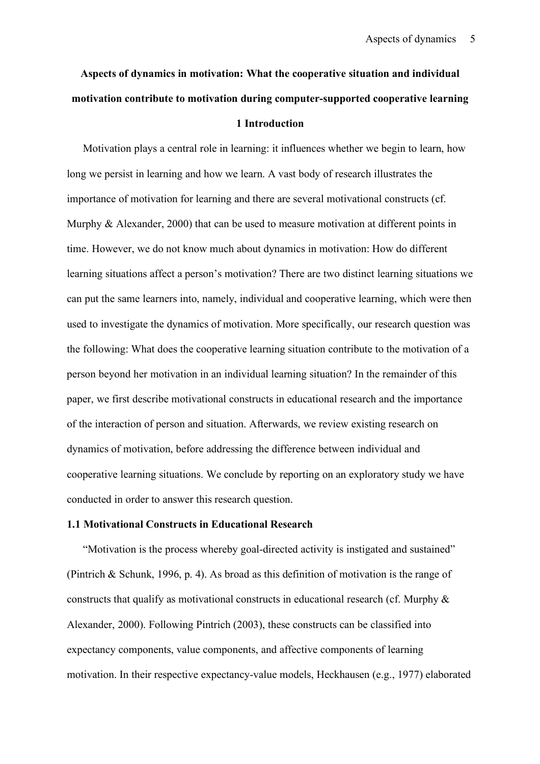# **Aspects of dynamics in motivation: What the cooperative situation and individual motivation contribute to motivation during computer-supported cooperative learning 1 Introduction**

Motivation plays a central role in learning: it influences whether we begin to learn, how long we persist in learning and how we learn. A vast body of research illustrates the importance of motivation for learning and there are several motivational constructs (cf. Murphy & Alexander, 2000) that can be used to measure motivation at different points in time. However, we do not know much about dynamics in motivation: How do different learning situations affect a person's motivation? There are two distinct learning situations we can put the same learners into, namely, individual and cooperative learning, which were then used to investigate the dynamics of motivation. More specifically, our research question was the following: What does the cooperative learning situation contribute to the motivation of a person beyond her motivation in an individual learning situation? In the remainder of this paper, we first describe motivational constructs in educational research and the importance of the interaction of person and situation. Afterwards, we review existing research on dynamics of motivation, before addressing the difference between individual and cooperative learning situations. We conclude by reporting on an exploratory study we have conducted in order to answer this research question.

## **1.1 Motivational Constructs in Educational Research**

"Motivation is the process whereby goal-directed activity is instigated and sustained" (Pintrich & Schunk, 1996, p. 4). As broad as this definition of motivation is the range of constructs that qualify as motivational constructs in educational research (cf. Murphy & Alexander, 2000). Following Pintrich (2003), these constructs can be classified into expectancy components, value components, and affective components of learning motivation. In their respective expectancy-value models, Heckhausen (e.g., 1977) elaborated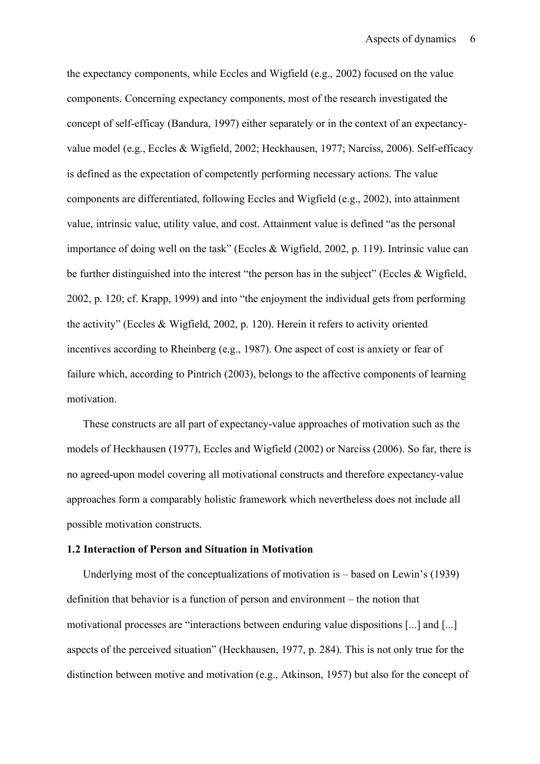the expectancy components, while Eccles and Wigfield (e.g., 2002) focused on the value components. Concerning expectancy components, most of the research investigated the concept of self-efficay (Bandura, 1997) either separately or in the context of an expectancyvalue model (e.g., Eccles & Wigfield, 2002; Heckhausen, 1977; Narciss, 2006). Self-efficacy is defined as the expectation of competently performing necessary actions. The value components are differentiated, following Eccles and Wigfield (e.g., 2002), into attainment value, intrinsic value, utility value, and cost. Attainment value is defined "as the personal importance of doing well on the task" (Eccles & Wigfield, 2002, p. 119). Intrinsic value can be further distinguished into the interest "the person has in the subject" (Eccles & Wigfield, 2002, p. 120; cf. Krapp, 1999) and into "the enjoyment the individual gets from performing the activity" (Eccles & Wigfield, 2002, p. 120). Herein it refers to activity oriented incentives according to Rheinberg (e.g., 1987). One aspect of cost is anxiety or fear of failure which, according to Pintrich (2003), belongs to the affective components of learning motivation.

These constructs are all part of expectancy-value approaches of motivation such as the models of Heckhausen (1977), Eccles and Wigfield (2002) or Narciss (2006). So far, there is no agreed-upon model covering all motivational constructs and therefore expectancy-value approaches form a comparably holistic framework which nevertheless does not include all possible motivation constructs.

## **1.2 Interaction of Person and Situation in Motivation**

Underlying most of the conceptualizations of motivation is – based on Lewin's (1939) definition that behavior is a function of person and environment – the notion that motivational processes are "interactions between enduring value dispositions [...] and [...] aspects of the perceived situation" (Heckhausen, 1977, p. 284). This is not only true for the distinction between motive and motivation (e.g., Atkinson, 1957) but also for the concept of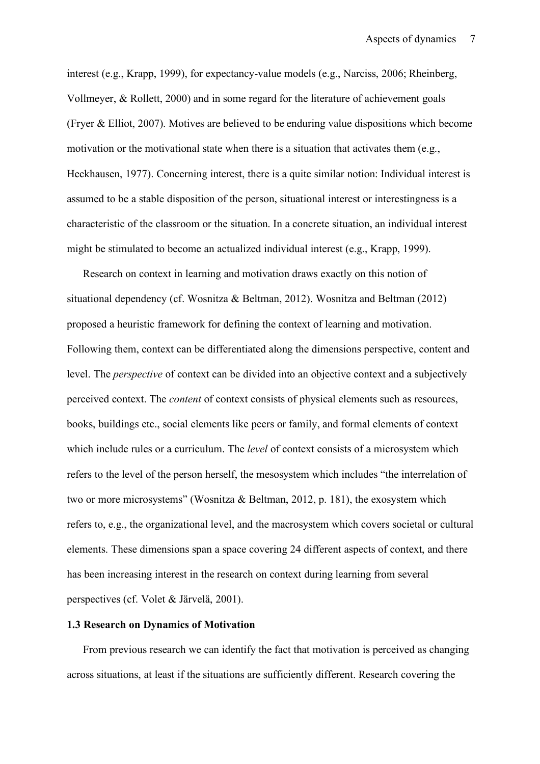interest (e.g., Krapp, 1999), for expectancy-value models (e.g., Narciss, 2006; Rheinberg, Vollmeyer, & Rollett, 2000) and in some regard for the literature of achievement goals (Fryer & Elliot, 2007). Motives are believed to be enduring value dispositions which become motivation or the motivational state when there is a situation that activates them (e.g., Heckhausen, 1977). Concerning interest, there is a quite similar notion: Individual interest is assumed to be a stable disposition of the person, situational interest or interestingness is a characteristic of the classroom or the situation. In a concrete situation, an individual interest might be stimulated to become an actualized individual interest (e.g., Krapp, 1999).

Research on context in learning and motivation draws exactly on this notion of situational dependency (cf. Wosnitza & Beltman, 2012). Wosnitza and Beltman (2012) proposed a heuristic framework for defining the context of learning and motivation. Following them, context can be differentiated along the dimensions perspective, content and level. The *perspective* of context can be divided into an objective context and a subjectively perceived context. The *content* of context consists of physical elements such as resources, books, buildings etc., social elements like peers or family, and formal elements of context which include rules or a curriculum. The *level* of context consists of a microsystem which refers to the level of the person herself, the mesosystem which includes "the interrelation of two or more microsystems" (Wosnitza & Beltman, 2012, p. 181), the exosystem which refers to, e.g., the organizational level, and the macrosystem which covers societal or cultural elements. These dimensions span a space covering 24 different aspects of context, and there has been increasing interest in the research on context during learning from several perspectives (cf. Volet & Järvelä, 2001).

## **1.3 Research on Dynamics of Motivation**

From previous research we can identify the fact that motivation is perceived as changing across situations, at least if the situations are sufficiently different. Research covering the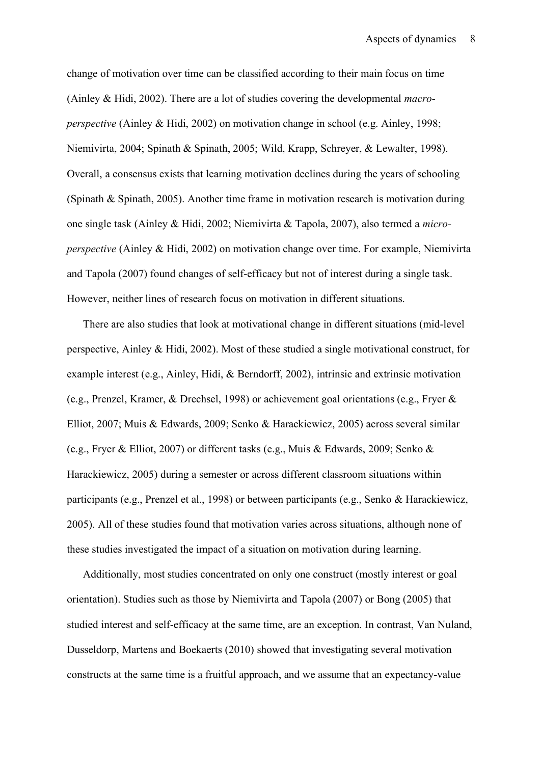change of motivation over time can be classified according to their main focus on time (Ainley & Hidi, 2002). There are a lot of studies covering the developmental *macroperspective* (Ainley & Hidi, 2002) on motivation change in school (e.g. Ainley, 1998; Niemivirta, 2004; Spinath & Spinath, 2005; Wild, Krapp, Schreyer, & Lewalter, 1998). Overall, a consensus exists that learning motivation declines during the years of schooling (Spinath & Spinath, 2005). Another time frame in motivation research is motivation during one single task (Ainley & Hidi, 2002; Niemivirta & Tapola, 2007), also termed a *microperspective* (Ainley & Hidi, 2002) on motivation change over time. For example, Niemivirta and Tapola (2007) found changes of self-efficacy but not of interest during a single task. However, neither lines of research focus on motivation in different situations.

There are also studies that look at motivational change in different situations (mid-level perspective, Ainley & Hidi, 2002). Most of these studied a single motivational construct, for example interest (e.g., Ainley, Hidi, & Berndorff, 2002), intrinsic and extrinsic motivation (e.g., Prenzel, Kramer, & Drechsel, 1998) or achievement goal orientations (e.g., Fryer & Elliot, 2007; Muis & Edwards, 2009; Senko & Harackiewicz, 2005) across several similar (e.g., Fryer & Elliot, 2007) or different tasks (e.g., Muis & Edwards, 2009; Senko & Harackiewicz, 2005) during a semester or across different classroom situations within participants (e.g., Prenzel et al., 1998) or between participants (e.g., Senko & Harackiewicz, 2005). All of these studies found that motivation varies across situations, although none of these studies investigated the impact of a situation on motivation during learning.

Additionally, most studies concentrated on only one construct (mostly interest or goal orientation). Studies such as those by Niemivirta and Tapola (2007) or Bong (2005) that studied interest and self-efficacy at the same time, are an exception. In contrast, Van Nuland, Dusseldorp, Martens and Boekaerts (2010) showed that investigating several motivation constructs at the same time is a fruitful approach, and we assume that an expectancy-value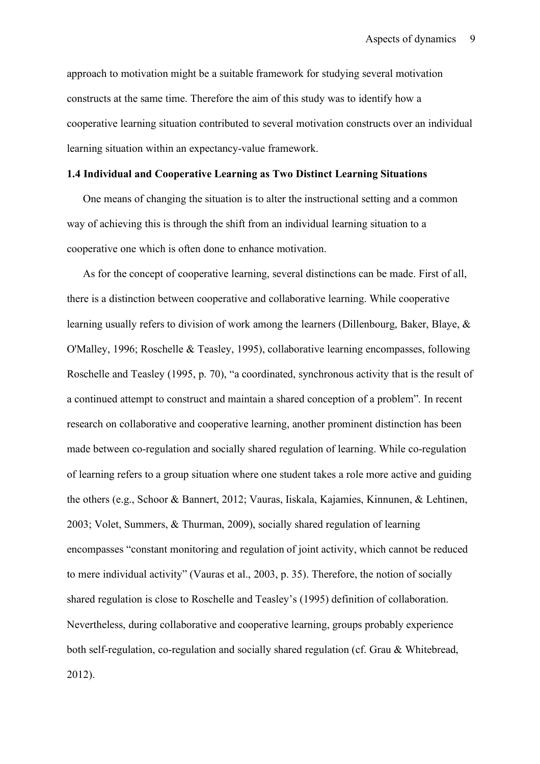approach to motivation might be a suitable framework for studying several motivation constructs at the same time. Therefore the aim of this study was to identify how a cooperative learning situation contributed to several motivation constructs over an individual learning situation within an expectancy-value framework.

## **1.4 Individual and Cooperative Learning as Two Distinct Learning Situations**

One means of changing the situation is to alter the instructional setting and a common way of achieving this is through the shift from an individual learning situation to a cooperative one which is often done to enhance motivation.

As for the concept of cooperative learning, several distinctions can be made. First of all, there is a distinction between cooperative and collaborative learning. While cooperative learning usually refers to division of work among the learners (Dillenbourg, Baker, Blaye, & O'Malley, 1996; Roschelle & Teasley, 1995), collaborative learning encompasses, following Roschelle and Teasley (1995, p. 70), "a coordinated, synchronous activity that is the result of a continued attempt to construct and maintain a shared conception of a problem". In recent research on collaborative and cooperative learning, another prominent distinction has been made between co-regulation and socially shared regulation of learning. While co-regulation of learning refers to a group situation where one student takes a role more active and guiding the others (e.g., Schoor & Bannert, 2012; Vauras, Iiskala, Kajamies, Kinnunen, & Lehtinen, 2003; Volet, Summers, & Thurman, 2009), socially shared regulation of learning encompasses "constant monitoring and regulation of joint activity, which cannot be reduced to mere individual activity" (Vauras et al., 2003, p. 35). Therefore, the notion of socially shared regulation is close to Roschelle and Teasley's (1995) definition of collaboration. Nevertheless, during collaborative and cooperative learning, groups probably experience both self-regulation, co-regulation and socially shared regulation (cf. Grau & Whitebread, 2012).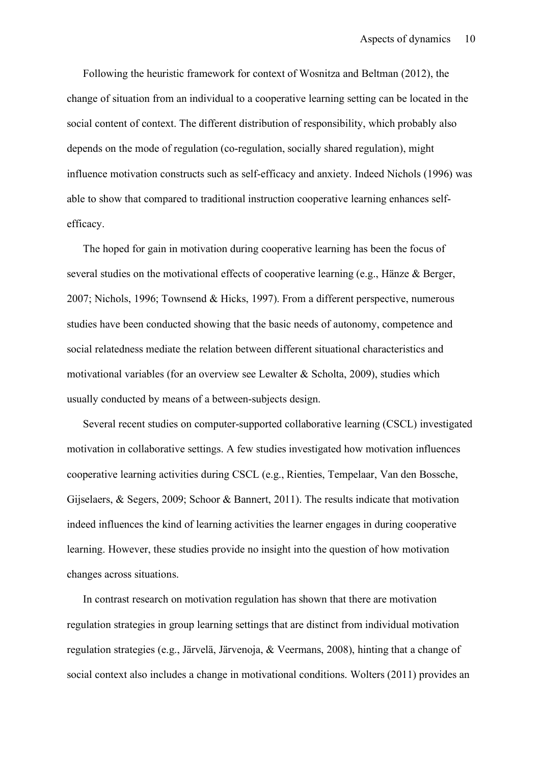Following the heuristic framework for context of Wosnitza and Beltman (2012), the change of situation from an individual to a cooperative learning setting can be located in the social content of context. The different distribution of responsibility, which probably also depends on the mode of regulation (co-regulation, socially shared regulation), might influence motivation constructs such as self-efficacy and anxiety. Indeed Nichols (1996) was able to show that compared to traditional instruction cooperative learning enhances selfefficacy.

The hoped for gain in motivation during cooperative learning has been the focus of several studies on the motivational effects of cooperative learning (e.g., Hänze & Berger, 2007; Nichols, 1996; Townsend & Hicks, 1997). From a different perspective, numerous studies have been conducted showing that the basic needs of autonomy, competence and social relatedness mediate the relation between different situational characteristics and motivational variables (for an overview see Lewalter & Scholta, 2009), studies which usually conducted by means of a between-subjects design.

Several recent studies on computer-supported collaborative learning (CSCL) investigated motivation in collaborative settings. A few studies investigated how motivation influences cooperative learning activities during CSCL (e.g., Rienties, Tempelaar, Van den Bossche, Gijselaers, & Segers, 2009; Schoor & Bannert, 2011). The results indicate that motivation indeed influences the kind of learning activities the learner engages in during cooperative learning. However, these studies provide no insight into the question of how motivation changes across situations.

In contrast research on motivation regulation has shown that there are motivation regulation strategies in group learning settings that are distinct from individual motivation regulation strategies (e.g., Järvelä, Järvenoja, & Veermans, 2008), hinting that a change of social context also includes a change in motivational conditions. Wolters (2011) provides an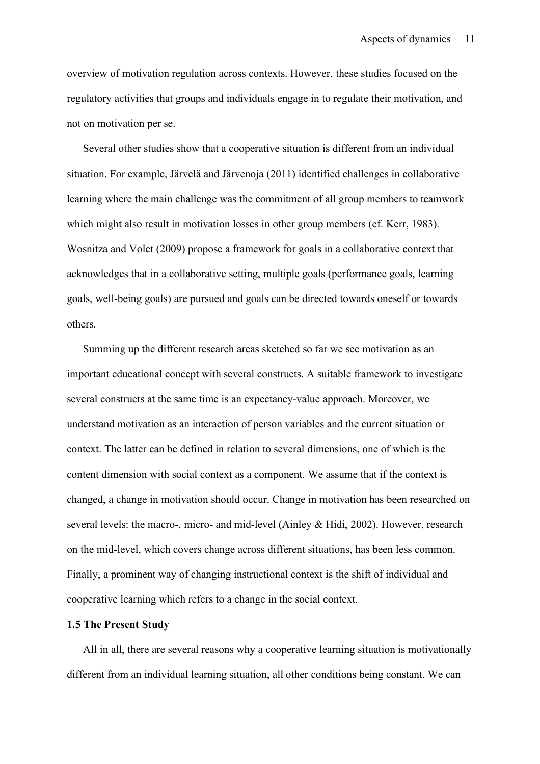overview of motivation regulation across contexts. However, these studies focused on the regulatory activities that groups and individuals engage in to regulate their motivation, and not on motivation per se.

Several other studies show that a cooperative situation is different from an individual situation. For example, Järvelä and Järvenoja (2011) identified challenges in collaborative learning where the main challenge was the commitment of all group members to teamwork which might also result in motivation losses in other group members (cf. Kerr, 1983). Wosnitza and Volet (2009) propose a framework for goals in a collaborative context that acknowledges that in a collaborative setting, multiple goals (performance goals, learning goals, well-being goals) are pursued and goals can be directed towards oneself or towards others.

Summing up the different research areas sketched so far we see motivation as an important educational concept with several constructs. A suitable framework to investigate several constructs at the same time is an expectancy-value approach. Moreover, we understand motivation as an interaction of person variables and the current situation or context. The latter can be defined in relation to several dimensions, one of which is the content dimension with social context as a component. We assume that if the context is changed, a change in motivation should occur. Change in motivation has been researched on several levels: the macro-, micro- and mid-level (Ainley & Hidi, 2002). However, research on the mid-level, which covers change across different situations, has been less common. Finally, a prominent way of changing instructional context is the shift of individual and cooperative learning which refers to a change in the social context.

## **1.5 The Present Study**

All in all, there are several reasons why a cooperative learning situation is motivationally different from an individual learning situation, all other conditions being constant. We can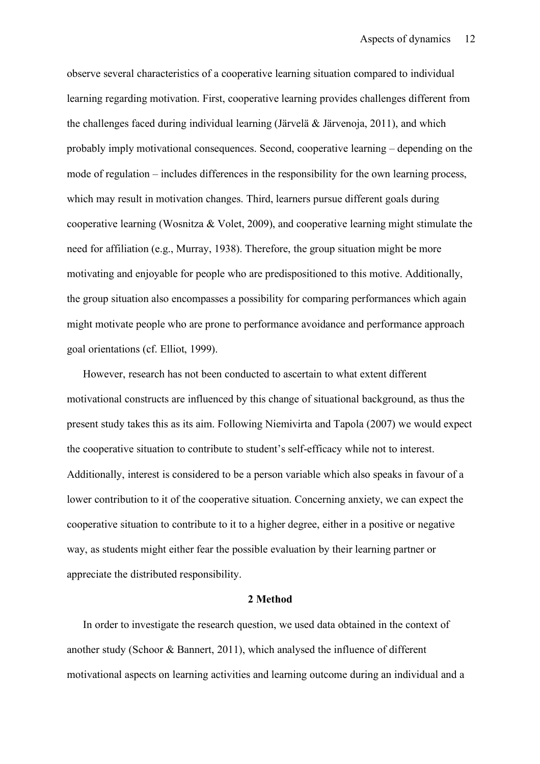observe several characteristics of a cooperative learning situation compared to individual learning regarding motivation. First, cooperative learning provides challenges different from the challenges faced during individual learning (Järvelä & Järvenoja, 2011), and which probably imply motivational consequences. Second, cooperative learning – depending on the mode of regulation – includes differences in the responsibility for the own learning process, which may result in motivation changes. Third, learners pursue different goals during cooperative learning (Wosnitza & Volet, 2009), and cooperative learning might stimulate the need for affiliation (e.g., Murray, 1938). Therefore, the group situation might be more motivating and enjoyable for people who are predispositioned to this motive. Additionally, the group situation also encompasses a possibility for comparing performances which again might motivate people who are prone to performance avoidance and performance approach goal orientations (cf. Elliot, 1999).

However, research has not been conducted to ascertain to what extent different motivational constructs are influenced by this change of situational background, as thus the present study takes this as its aim. Following Niemivirta and Tapola (2007) we would expect the cooperative situation to contribute to student's self-efficacy while not to interest. Additionally, interest is considered to be a person variable which also speaks in favour of a lower contribution to it of the cooperative situation. Concerning anxiety, we can expect the cooperative situation to contribute to it to a higher degree, either in a positive or negative way, as students might either fear the possible evaluation by their learning partner or appreciate the distributed responsibility.

#### **2 Method**

In order to investigate the research question, we used data obtained in the context of another study (Schoor & Bannert, 2011), which analysed the influence of different motivational aspects on learning activities and learning outcome during an individual and a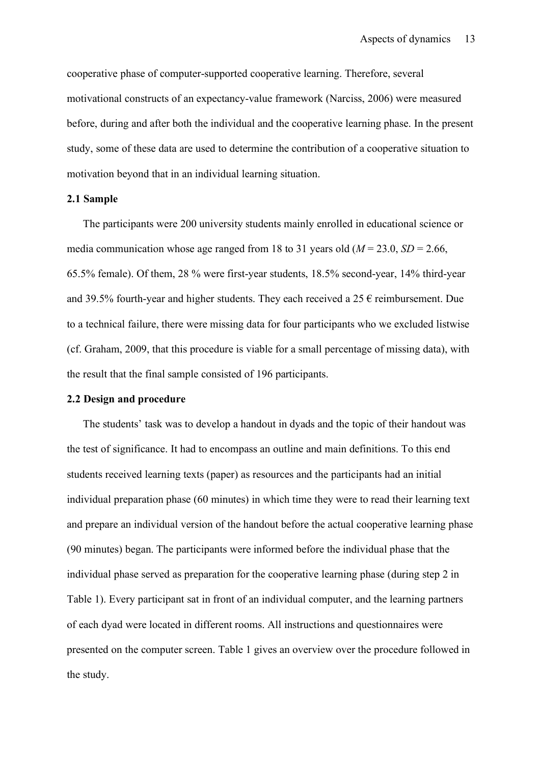cooperative phase of computer-supported cooperative learning. Therefore, several motivational constructs of an expectancy-value framework (Narciss, 2006) were measured before, during and after both the individual and the cooperative learning phase. In the present study, some of these data are used to determine the contribution of a cooperative situation to motivation beyond that in an individual learning situation.

## **2.1 Sample**

The participants were 200 university students mainly enrolled in educational science or media communication whose age ranged from 18 to 31 years old  $(M = 23.0, SD = 2.66,$ 65.5% female). Of them, 28 % were first-year students, 18.5% second-year, 14% third-year and 39.5% fourth-year and higher students. They each received a  $25 \text{ }\epsilon$  reimbursement. Due to a technical failure, there were missing data for four participants who we excluded listwise (cf. Graham, 2009, that this procedure is viable for a small percentage of missing data), with the result that the final sample consisted of 196 participants.

## **2.2 Design and procedure**

The students' task was to develop a handout in dyads and the topic of their handout was the test of significance. It had to encompass an outline and main definitions. To this end students received learning texts (paper) as resources and the participants had an initial individual preparation phase (60 minutes) in which time they were to read their learning text and prepare an individual version of the handout before the actual cooperative learning phase (90 minutes) began. The participants were informed before the individual phase that the individual phase served as preparation for the cooperative learning phase (during step 2 in Table 1). Every participant sat in front of an individual computer, and the learning partners of each dyad were located in different rooms. All instructions and questionnaires were presented on the computer screen. Table 1 gives an overview over the procedure followed in the study.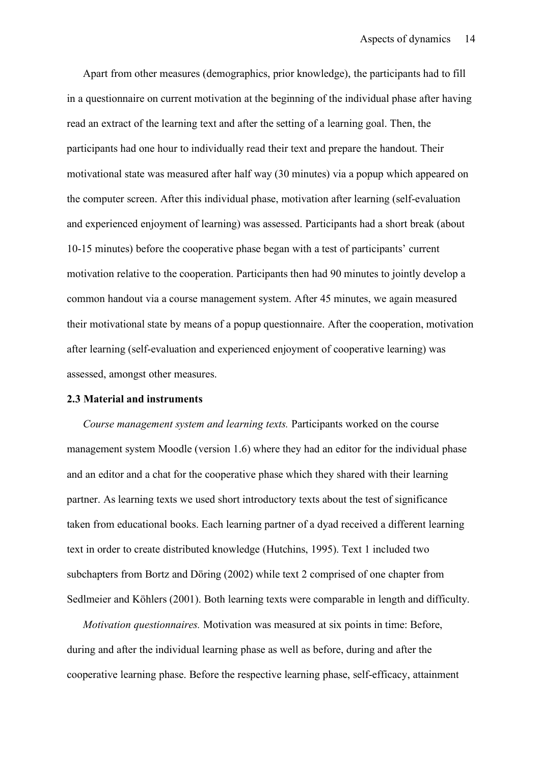Apart from other measures (demographics, prior knowledge), the participants had to fill in a questionnaire on current motivation at the beginning of the individual phase after having read an extract of the learning text and after the setting of a learning goal. Then, the participants had one hour to individually read their text and prepare the handout. Their motivational state was measured after half way (30 minutes) via a popup which appeared on the computer screen. After this individual phase, motivation after learning (self-evaluation and experienced enjoyment of learning) was assessed. Participants had a short break (about 10-15 minutes) before the cooperative phase began with a test of participants' current motivation relative to the cooperation. Participants then had 90 minutes to jointly develop a common handout via a course management system. After 45 minutes, we again measured their motivational state by means of a popup questionnaire. After the cooperation, motivation after learning (self-evaluation and experienced enjoyment of cooperative learning) was assessed, amongst other measures.

## **2.3 Material and instruments**

*Course management system and learning texts.* Participants worked on the course management system Moodle (version 1.6) where they had an editor for the individual phase and an editor and a chat for the cooperative phase which they shared with their learning partner. As learning texts we used short introductory texts about the test of significance taken from educational books. Each learning partner of a dyad received a different learning text in order to create distributed knowledge (Hutchins, 1995). Text 1 included two subchapters from Bortz and Döring (2002) while text 2 comprised of one chapter from Sedlmeier and Köhlers (2001). Both learning texts were comparable in length and difficulty.

*Motivation questionnaires.* Motivation was measured at six points in time: Before, during and after the individual learning phase as well as before, during and after the cooperative learning phase. Before the respective learning phase, self-efficacy, attainment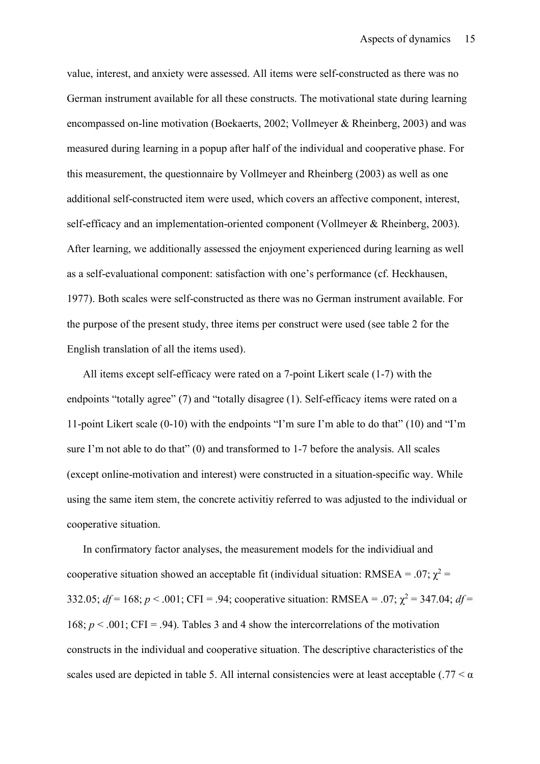value, interest, and anxiety were assessed. All items were self-constructed as there was no German instrument available for all these constructs. The motivational state during learning encompassed on-line motivation (Boekaerts, 2002; Vollmeyer & Rheinberg, 2003) and was measured during learning in a popup after half of the individual and cooperative phase. For this measurement, the questionnaire by Vollmeyer and Rheinberg (2003) as well as one additional self-constructed item were used, which covers an affective component, interest, self-efficacy and an implementation-oriented component (Vollmeyer & Rheinberg, 2003). After learning, we additionally assessed the enjoyment experienced during learning as well as a self-evaluational component: satisfaction with one's performance (cf. Heckhausen, 1977). Both scales were self-constructed as there was no German instrument available. For the purpose of the present study, three items per construct were used (see table 2 for the English translation of all the items used).

All items except self-efficacy were rated on a 7-point Likert scale (1-7) with the endpoints "totally agree" (7) and "totally disagree (1). Self-efficacy items were rated on a 11-point Likert scale (0-10) with the endpoints "I'm sure I'm able to do that" (10) and "I'm sure I'm not able to do that" (0) and transformed to 1-7 before the analysis. All scales (except online-motivation and interest) were constructed in a situation-specific way. While using the same item stem, the concrete activitiy referred to was adjusted to the individual or cooperative situation.

In confirmatory factor analyses, the measurement models for the individiual and cooperative situation showed an acceptable fit (individual situation: RMSEA = .07;  $\chi^2$  = 332.05;  $df = 168$ ;  $p < .001$ ; CFI = .94; cooperative situation: RMSEA = .07;  $\chi^2 = 347.04$ ;  $df =$ 168;  $p < .001$ ; CFI = .94). Tables 3 and 4 show the intercorrelations of the motivation constructs in the individual and cooperative situation. The descriptive characteristics of the scales used are depicted in table 5. All internal consistencies were at least acceptable (.77  $\lt \alpha$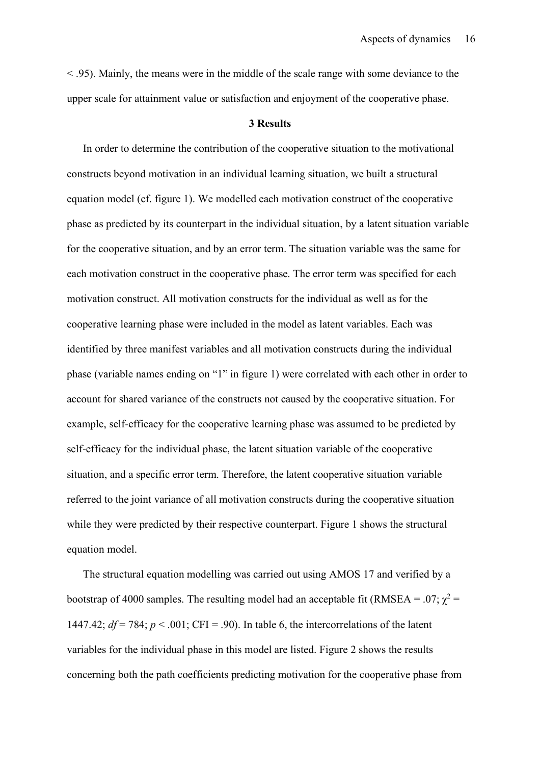< .95). Mainly, the means were in the middle of the scale range with some deviance to the upper scale for attainment value or satisfaction and enjoyment of the cooperative phase.

#### **3 Results**

In order to determine the contribution of the cooperative situation to the motivational constructs beyond motivation in an individual learning situation, we built a structural equation model (cf. figure 1). We modelled each motivation construct of the cooperative phase as predicted by its counterpart in the individual situation, by a latent situation variable for the cooperative situation, and by an error term. The situation variable was the same for each motivation construct in the cooperative phase. The error term was specified for each motivation construct. All motivation constructs for the individual as well as for the cooperative learning phase were included in the model as latent variables. Each was identified by three manifest variables and all motivation constructs during the individual phase (variable names ending on "1" in figure 1) were correlated with each other in order to account for shared variance of the constructs not caused by the cooperative situation. For example, self-efficacy for the cooperative learning phase was assumed to be predicted by self-efficacy for the individual phase, the latent situation variable of the cooperative situation, and a specific error term. Therefore, the latent cooperative situation variable referred to the joint variance of all motivation constructs during the cooperative situation while they were predicted by their respective counterpart. Figure 1 shows the structural equation model.

The structural equation modelling was carried out using AMOS 17 and verified by a bootstrap of 4000 samples. The resulting model had an acceptable fit (RMSEA = .07;  $\chi^2$  = 1447.42;  $df = 784$ ;  $p < .001$ ; CFI = .90). In table 6, the intercorrelations of the latent variables for the individual phase in this model are listed. Figure 2 shows the results concerning both the path coefficients predicting motivation for the cooperative phase from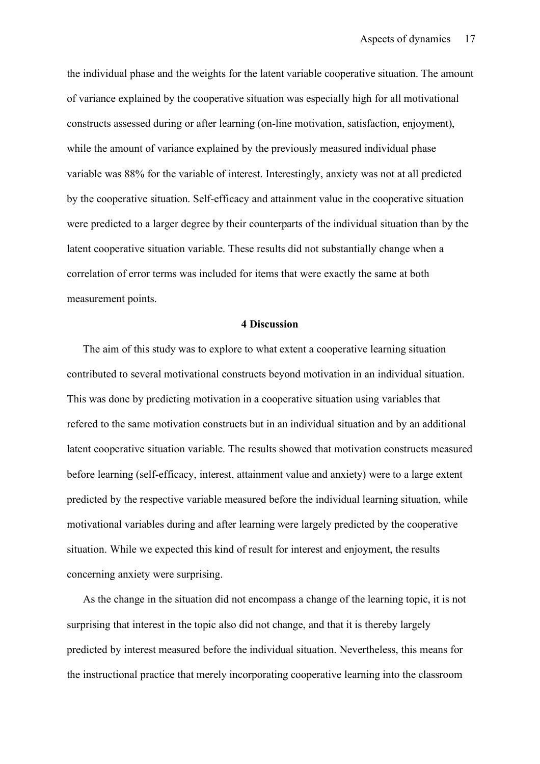the individual phase and the weights for the latent variable cooperative situation. The amount of variance explained by the cooperative situation was especially high for all motivational constructs assessed during or after learning (on-line motivation, satisfaction, enjoyment), while the amount of variance explained by the previously measured individual phase variable was 88% for the variable of interest. Interestingly, anxiety was not at all predicted by the cooperative situation. Self-efficacy and attainment value in the cooperative situation were predicted to a larger degree by their counterparts of the individual situation than by the latent cooperative situation variable. These results did not substantially change when a correlation of error terms was included for items that were exactly the same at both measurement points.

### **4 Discussion**

The aim of this study was to explore to what extent a cooperative learning situation contributed to several motivational constructs beyond motivation in an individual situation. This was done by predicting motivation in a cooperative situation using variables that refered to the same motivation constructs but in an individual situation and by an additional latent cooperative situation variable. The results showed that motivation constructs measured before learning (self-efficacy, interest, attainment value and anxiety) were to a large extent predicted by the respective variable measured before the individual learning situation, while motivational variables during and after learning were largely predicted by the cooperative situation. While we expected this kind of result for interest and enjoyment, the results concerning anxiety were surprising.

As the change in the situation did not encompass a change of the learning topic, it is not surprising that interest in the topic also did not change, and that it is thereby largely predicted by interest measured before the individual situation. Nevertheless, this means for the instructional practice that merely incorporating cooperative learning into the classroom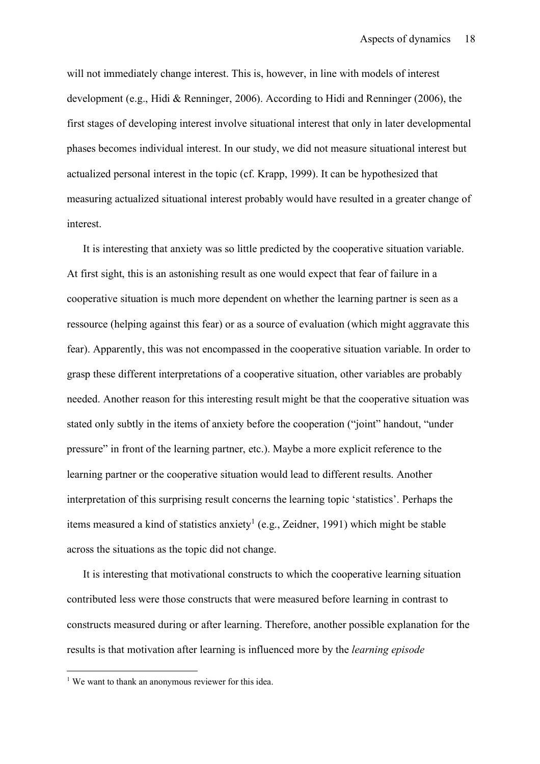will not immediately change interest. This is, however, in line with models of interest development (e.g., Hidi & Renninger, 2006). According to Hidi and Renninger (2006), the first stages of developing interest involve situational interest that only in later developmental phases becomes individual interest. In our study, we did not measure situational interest but actualized personal interest in the topic (cf. Krapp, 1999). It can be hypothesized that measuring actualized situational interest probably would have resulted in a greater change of interest.

It is interesting that anxiety was so little predicted by the cooperative situation variable. At first sight, this is an astonishing result as one would expect that fear of failure in a cooperative situation is much more dependent on whether the learning partner is seen as a ressource (helping against this fear) or as a source of evaluation (which might aggravate this fear). Apparently, this was not encompassed in the cooperative situation variable. In order to grasp these different interpretations of a cooperative situation, other variables are probably needed. Another reason for this interesting result might be that the cooperative situation was stated only subtly in the items of anxiety before the cooperation ("joint" handout, "under pressure" in front of the learning partner, etc.). Maybe a more explicit reference to the learning partner or the cooperative situation would lead to different results. Another interpretation of this surprising result concerns the learning topic 'statistics'. Perhaps the items measured a kind of statistics anxiety<sup>1</sup> (e.g., Zeidner, 1991) which might be stable across the situations as the topic did not change.

It is interesting that motivational constructs to which the cooperative learning situation contributed less were those constructs that were measured before learning in contrast to constructs measured during or after learning. Therefore, another possible explanation for the results is that motivation after learning is influenced more by the *learning episode*

<sup>&</sup>lt;sup>1</sup> We want to thank an anonymous reviewer for this idea.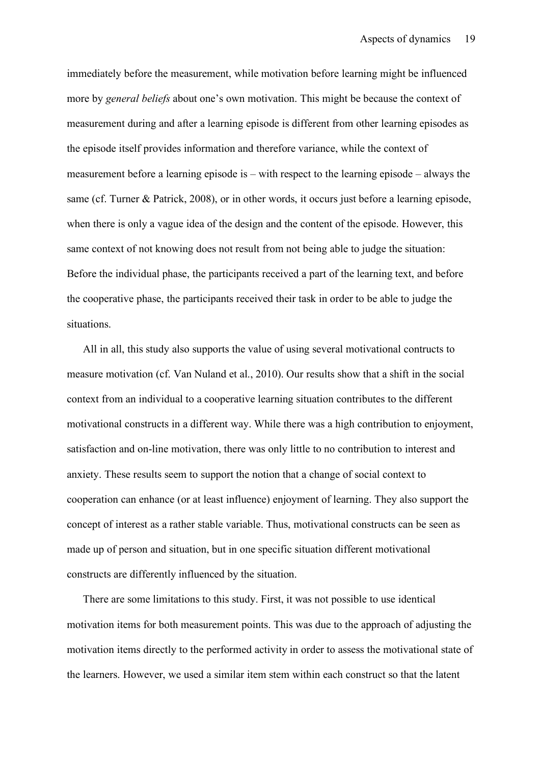immediately before the measurement, while motivation before learning might be influenced more by *general beliefs* about one's own motivation. This might be because the context of measurement during and after a learning episode is different from other learning episodes as the episode itself provides information and therefore variance, while the context of measurement before a learning episode is – with respect to the learning episode – always the same (cf. Turner & Patrick, 2008), or in other words, it occurs just before a learning episode, when there is only a vague idea of the design and the content of the episode. However, this same context of not knowing does not result from not being able to judge the situation: Before the individual phase, the participants received a part of the learning text, and before the cooperative phase, the participants received their task in order to be able to judge the situations.

All in all, this study also supports the value of using several motivational contructs to measure motivation (cf. Van Nuland et al., 2010). Our results show that a shift in the social context from an individual to a cooperative learning situation contributes to the different motivational constructs in a different way. While there was a high contribution to enjoyment, satisfaction and on-line motivation, there was only little to no contribution to interest and anxiety. These results seem to support the notion that a change of social context to cooperation can enhance (or at least influence) enjoyment of learning. They also support the concept of interest as a rather stable variable. Thus, motivational constructs can be seen as made up of person and situation, but in one specific situation different motivational constructs are differently influenced by the situation.

There are some limitations to this study. First, it was not possible to use identical motivation items for both measurement points. This was due to the approach of adjusting the motivation items directly to the performed activity in order to assess the motivational state of the learners. However, we used a similar item stem within each construct so that the latent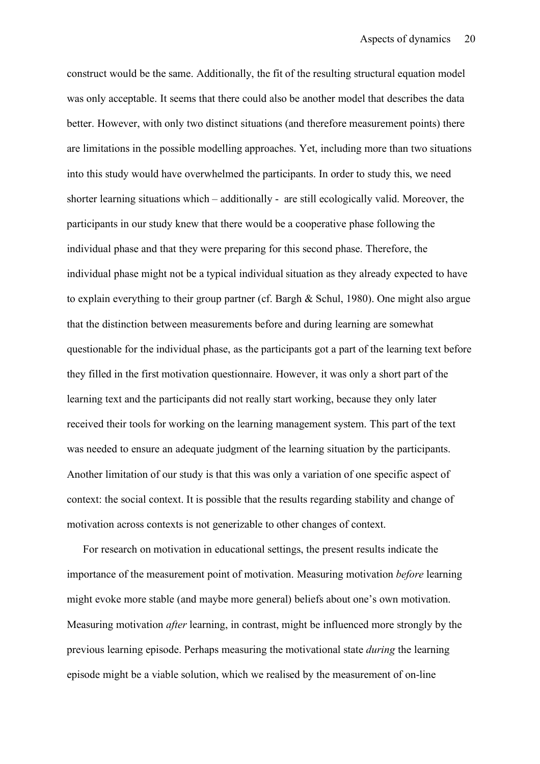construct would be the same. Additionally, the fit of the resulting structural equation model was only acceptable. It seems that there could also be another model that describes the data better. However, with only two distinct situations (and therefore measurement points) there are limitations in the possible modelling approaches. Yet, including more than two situations into this study would have overwhelmed the participants. In order to study this, we need shorter learning situations which – additionally - are still ecologically valid. Moreover, the participants in our study knew that there would be a cooperative phase following the individual phase and that they were preparing for this second phase. Therefore, the individual phase might not be a typical individual situation as they already expected to have to explain everything to their group partner (cf. Bargh & Schul, 1980). One might also argue that the distinction between measurements before and during learning are somewhat questionable for the individual phase, as the participants got a part of the learning text before they filled in the first motivation questionnaire. However, it was only a short part of the learning text and the participants did not really start working, because they only later received their tools for working on the learning management system. This part of the text was needed to ensure an adequate judgment of the learning situation by the participants. Another limitation of our study is that this was only a variation of one specific aspect of context: the social context. It is possible that the results regarding stability and change of motivation across contexts is not generizable to other changes of context.

For research on motivation in educational settings, the present results indicate the importance of the measurement point of motivation. Measuring motivation *before* learning might evoke more stable (and maybe more general) beliefs about one's own motivation. Measuring motivation *after* learning, in contrast, might be influenced more strongly by the previous learning episode. Perhaps measuring the motivational state *during* the learning episode might be a viable solution, which we realised by the measurement of on-line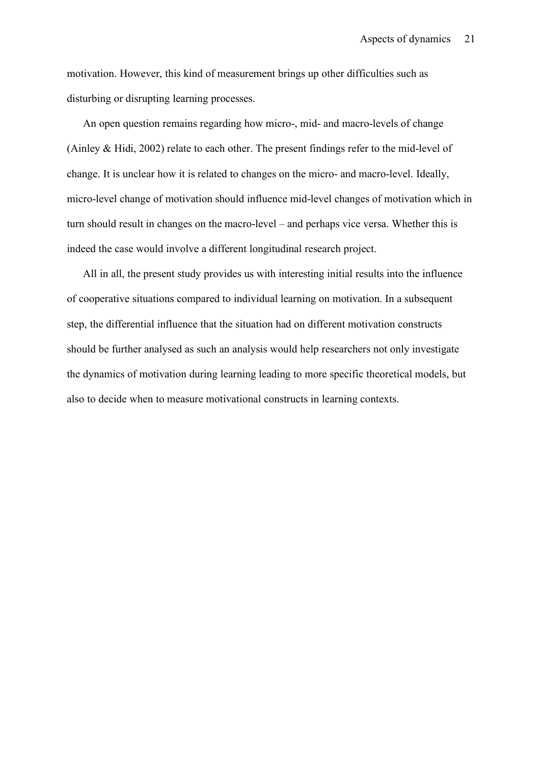motivation. However, this kind of measurement brings up other difficulties such as disturbing or disrupting learning processes.

An open question remains regarding how micro-, mid- and macro-levels of change (Ainley & Hidi, 2002) relate to each other. The present findings refer to the mid-level of change. It is unclear how it is related to changes on the micro- and macro-level. Ideally, micro-level change of motivation should influence mid-level changes of motivation which in turn should result in changes on the macro-level – and perhaps vice versa. Whether this is indeed the case would involve a different longitudinal research project.

All in all, the present study provides us with interesting initial results into the influence of cooperative situations compared to individual learning on motivation. In a subsequent step, the differential influence that the situation had on different motivation constructs should be further analysed as such an analysis would help researchers not only investigate the dynamics of motivation during learning leading to more specific theoretical models, but also to decide when to measure motivational constructs in learning contexts.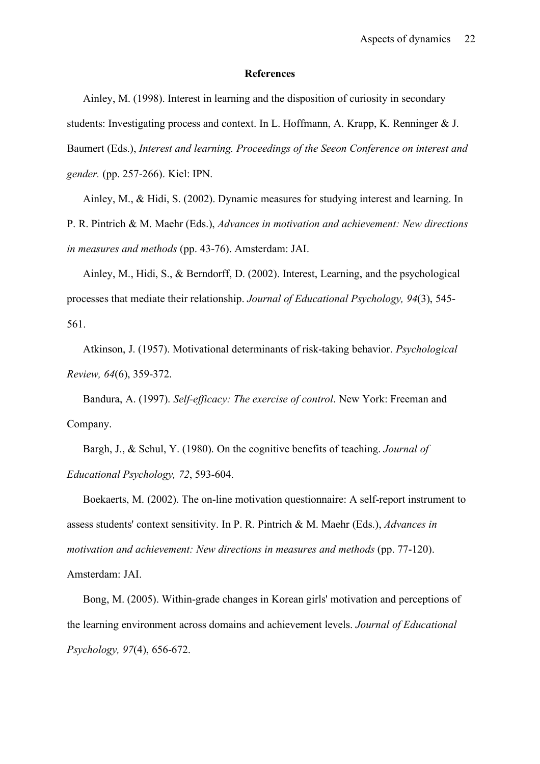#### **References**

Ainley, M. (1998). Interest in learning and the disposition of curiosity in secondary students: Investigating process and context. In L. Hoffmann, A. Krapp, K. Renninger & J. Baumert (Eds.), *Interest and learning. Proceedings of the Seeon Conference on interest and gender.* (pp. 257-266). Kiel: IPN.

Ainley, M., & Hidi, S. (2002). Dynamic measures for studying interest and learning. In P. R. Pintrich & M. Maehr (Eds.), *Advances in motivation and achievement: New directions in measures and methods* (pp. 43-76). Amsterdam: JAI.

Ainley, M., Hidi, S., & Berndorff, D. (2002). Interest, Learning, and the psychological processes that mediate their relationship. *Journal of Educational Psychology, 94*(3), 545- 561.

Atkinson, J. (1957). Motivational determinants of risk-taking behavior. *Psychological Review, 64*(6), 359-372.

Bandura, A. (1997). *Self-efficacy: The exercise of control*. New York: Freeman and Company.

Bargh, J., & Schul, Y. (1980). On the cognitive benefits of teaching. *Journal of Educational Psychology, 72*, 593-604.

Boekaerts, M. (2002). The on-line motivation questionnaire: A self-report instrument to assess students' context sensitivity. In P. R. Pintrich & M. Maehr (Eds.), *Advances in motivation and achievement: New directions in measures and methods* (pp. 77-120). Amsterdam: JAI.

Bong, M. (2005). Within-grade changes in Korean girls' motivation and perceptions of the learning environment across domains and achievement levels. *Journal of Educational Psychology, 97*(4), 656-672.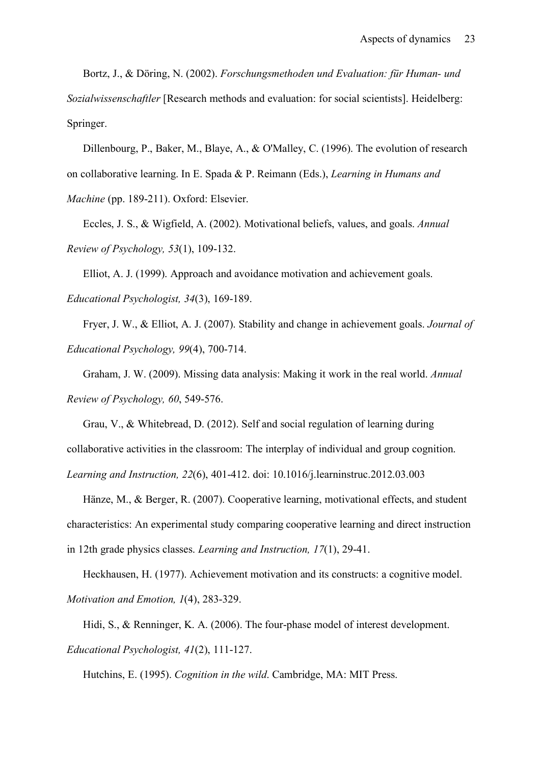Bortz, J., & Döring, N. (2002). *Forschungsmethoden und Evaluation: für Human- und Sozialwissenschaftler* [Research methods and evaluation: for social scientists]. Heidelberg: Springer.

Dillenbourg, P., Baker, M., Blaye, A., & O'Malley, C. (1996). The evolution of research on collaborative learning. In E. Spada & P. Reimann (Eds.), *Learning in Humans and Machine* (pp. 189-211). Oxford: Elsevier.

Eccles, J. S., & Wigfield, A. (2002). Motivational beliefs, values, and goals. *Annual Review of Psychology, 53*(1), 109-132.

Elliot, A. J. (1999). Approach and avoidance motivation and achievement goals. *Educational Psychologist, 34*(3), 169-189.

Fryer, J. W., & Elliot, A. J. (2007). Stability and change in achievement goals. *Journal of Educational Psychology, 99*(4), 700-714.

Graham, J. W. (2009). Missing data analysis: Making it work in the real world. *Annual Review of Psychology, 60*, 549-576.

Grau, V., & Whitebread, D. (2012). Self and social regulation of learning during collaborative activities in the classroom: The interplay of individual and group cognition. *Learning and Instruction, 22*(6), 401-412. doi: 10.1016/j.learninstruc.2012.03.003

Hänze, M., & Berger, R. (2007). Cooperative learning, motivational effects, and student characteristics: An experimental study comparing cooperative learning and direct instruction in 12th grade physics classes. *Learning and Instruction, 17*(1), 29-41.

Heckhausen, H. (1977). Achievement motivation and its constructs: a cognitive model. *Motivation and Emotion, 1*(4), 283-329.

Hidi, S., & Renninger, K. A. (2006). The four-phase model of interest development. *Educational Psychologist, 41*(2), 111-127.

Hutchins, E. (1995). *Cognition in the wild*. Cambridge, MA: MIT Press.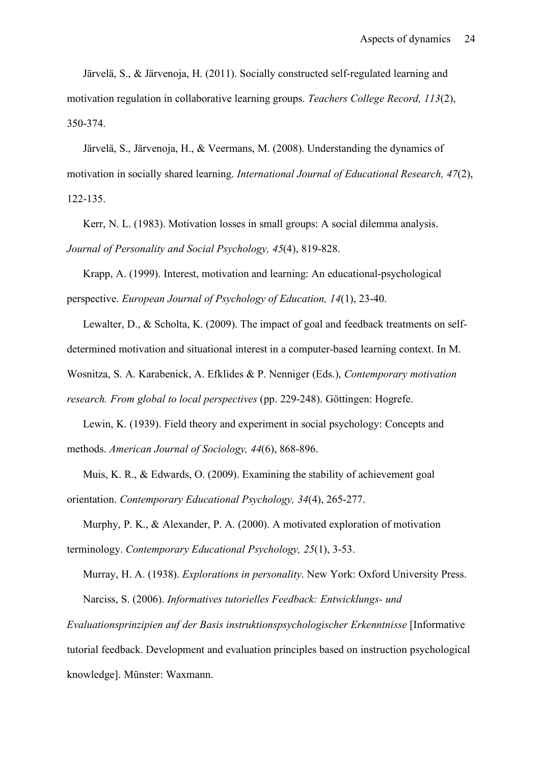Järvelä, S., & Järvenoja, H. (2011). Socially constructed self-regulated learning and motivation regulation in collaborative learning groups. *Teachers College Record, 113*(2), 350-374.

Järvelä, S., Järvenoja, H., & Veermans, M. (2008). Understanding the dynamics of motivation in socially shared learning. *International Journal of Educational Research, 47*(2), 122-135.

Kerr, N. L. (1983). Motivation losses in small groups: A social dilemma analysis. *Journal of Personality and Social Psychology, 45*(4), 819-828.

Krapp, A. (1999). Interest, motivation and learning: An educational-psychological perspective. *European Journal of Psychology of Education, 14*(1), 23-40.

Lewalter, D., & Scholta, K. (2009). The impact of goal and feedback treatments on selfdetermined motivation and situational interest in a computer-based learning context. In M. Wosnitza, S. A. Karabenick, A. Efklides & P. Nenniger (Eds.), *Contemporary motivation* 

*research. From global to local perspectives* (pp. 229-248). Göttingen: Hogrefe.

Lewin, K. (1939). Field theory and experiment in social psychology: Concepts and methods. *American Journal of Sociology, 44*(6), 868-896.

Muis, K. R., & Edwards, O. (2009). Examining the stability of achievement goal orientation. *Contemporary Educational Psychology, 34*(4), 265-277.

Murphy, P. K., & Alexander, P. A. (2000). A motivated exploration of motivation terminology. *Contemporary Educational Psychology, 25*(1), 3-53.

Murray, H. A. (1938). *Explorations in personality*. New York: Oxford University Press. Narciss, S. (2006). *Informatives tutorielles Feedback: Entwicklungs- und* 

*Evaluationsprinzipien auf der Basis instruktionspsychologischer Erkenntnisse* [Informative tutorial feedback. Development and evaluation principles based on instruction psychological knowledge]. Münster: Waxmann.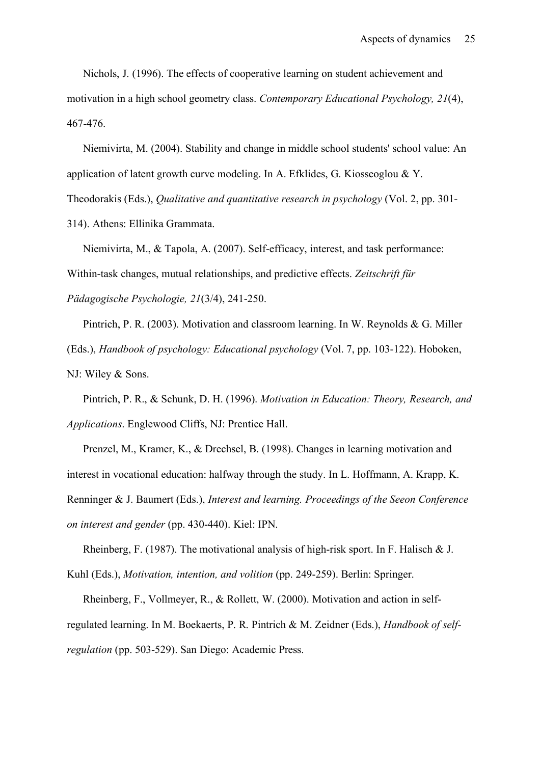Nichols, J. (1996). The effects of cooperative learning on student achievement and motivation in a high school geometry class. *Contemporary Educational Psychology, 21*(4), 467-476.

Niemivirta, M. (2004). Stability and change in middle school students' school value: An application of latent growth curve modeling. In A. Efklides, G. Kiosseoglou & Y. Theodorakis (Eds.), *Qualitative and quantitative research in psychology* (Vol. 2, pp. 301- 314). Athens: Ellinika Grammata.

Niemivirta, M., & Tapola, A. (2007). Self-efficacy, interest, and task performance: Within-task changes, mutual relationships, and predictive effects. *Zeitschrift für Pädagogische Psychologie, 21*(3/4), 241-250.

Pintrich, P. R. (2003). Motivation and classroom learning. In W. Reynolds & G. Miller (Eds.), *Handbook of psychology: Educational psychology* (Vol. 7, pp. 103-122). Hoboken, NJ: Wiley & Sons.

Pintrich, P. R., & Schunk, D. H. (1996). *Motivation in Education: Theory, Research, and Applications*. Englewood Cliffs, NJ: Prentice Hall.

Prenzel, M., Kramer, K., & Drechsel, B. (1998). Changes in learning motivation and interest in vocational education: halfway through the study. In L. Hoffmann, A. Krapp, K. Renninger & J. Baumert (Eds.), *Interest and learning. Proceedings of the Seeon Conference on interest and gender* (pp. 430-440). Kiel: IPN.

Rheinberg, F. (1987). The motivational analysis of high-risk sport. In F. Halisch & J. Kuhl (Eds.), *Motivation, intention, and volition* (pp. 249-259). Berlin: Springer.

Rheinberg, F., Vollmeyer, R., & Rollett, W. (2000). Motivation and action in selfregulated learning. In M. Boekaerts, P. R. Pintrich & M. Zeidner (Eds.), *Handbook of selfregulation* (pp. 503-529). San Diego: Academic Press.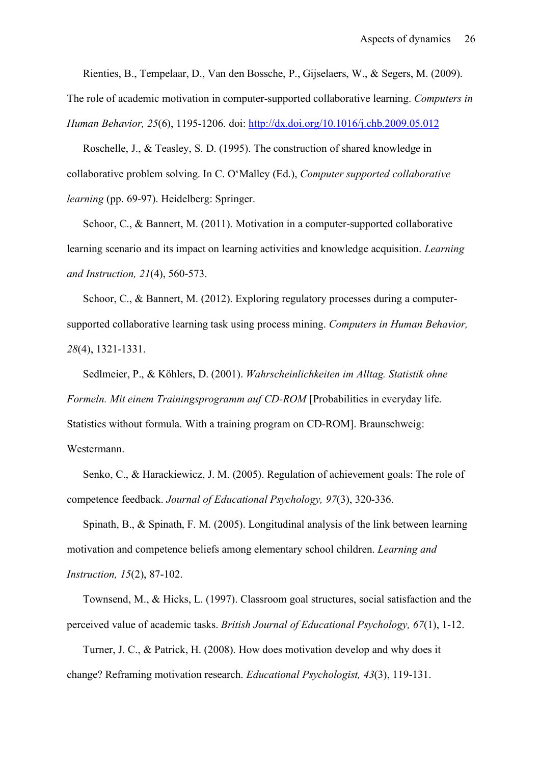Rienties, B., Tempelaar, D., Van den Bossche, P., Gijselaers, W., & Segers, M. (2009).

The role of academic motivation in computer-supported collaborative learning. *Computers in* 

*Human Behavior, 25*(6), 1195-1206. doi: http://dx.doi.org/10.1016/j.chb.2009.05.012

Roschelle, J., & Teasley, S. D. (1995). The construction of shared knowledge in collaborative problem solving. In C. O'Malley (Ed.), *Computer supported collaborative learning* (pp. 69-97). Heidelberg: Springer.

Schoor, C., & Bannert, M. (2011). Motivation in a computer-supported collaborative learning scenario and its impact on learning activities and knowledge acquisition. *Learning and Instruction, 21*(4), 560-573.

Schoor, C., & Bannert, M. (2012). Exploring regulatory processes during a computersupported collaborative learning task using process mining. *Computers in Human Behavior, 28*(4), 1321-1331.

Sedlmeier, P., & Köhlers, D. (2001). *Wahrscheinlichkeiten im Alltag. Statistik ohne Formeln. Mit einem Trainingsprogramm auf CD-ROM* [Probabilities in everyday life. Statistics without formula. With a training program on CD-ROM]. Braunschweig: Westermann.

Senko, C., & Harackiewicz, J. M. (2005). Regulation of achievement goals: The role of competence feedback. *Journal of Educational Psychology, 97*(3), 320-336.

Spinath, B., & Spinath, F. M. (2005). Longitudinal analysis of the link between learning motivation and competence beliefs among elementary school children. *Learning and Instruction, 15*(2), 87-102.

Townsend, M., & Hicks, L. (1997). Classroom goal structures, social satisfaction and the perceived value of academic tasks. *British Journal of Educational Psychology, 67*(1), 1-12.

Turner, J. C., & Patrick, H. (2008). How does motivation develop and why does it change? Reframing motivation research. *Educational Psychologist, 43*(3), 119-131.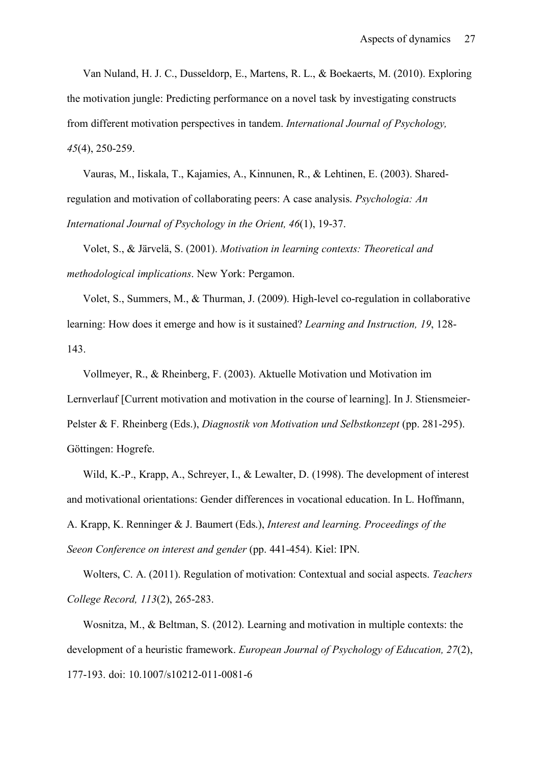Van Nuland, H. J. C., Dusseldorp, E., Martens, R. L., & Boekaerts, M. (2010). Exploring the motivation jungle: Predicting performance on a novel task by investigating constructs from different motivation perspectives in tandem. *International Journal of Psychology, 45*(4), 250-259.

Vauras, M., Iiskala, T., Kajamies, A., Kinnunen, R., & Lehtinen, E. (2003). Sharedregulation and motivation of collaborating peers: A case analysis. *Psychologia: An International Journal of Psychology in the Orient, 46*(1), 19-37.

Volet, S., & Järvelä, S. (2001). *Motivation in learning contexts: Theoretical and methodological implications*. New York: Pergamon.

Volet, S., Summers, M., & Thurman, J. (2009). High-level co-regulation in collaborative learning: How does it emerge and how is it sustained? *Learning and Instruction, 19*, 128- 143.

Vollmeyer, R., & Rheinberg, F. (2003). Aktuelle Motivation und Motivation im Lernverlauf [Current motivation and motivation in the course of learning]. In J. Stiensmeier-Pelster & F. Rheinberg (Eds.), *Diagnostik von Motivation und Selbstkonzept* (pp. 281-295). Göttingen: Hogrefe.

Wild, K.-P., Krapp, A., Schreyer, I., & Lewalter, D. (1998). The development of interest and motivational orientations: Gender differences in vocational education. In L. Hoffmann, A. Krapp, K. Renninger & J. Baumert (Eds.), *Interest and learning. Proceedings of the Seeon Conference on interest and gender* (pp. 441-454). Kiel: IPN.

Wolters, C. A. (2011). Regulation of motivation: Contextual and social aspects. *Teachers College Record, 113*(2), 265-283.

Wosnitza, M., & Beltman, S. (2012). Learning and motivation in multiple contexts: the development of a heuristic framework. *European Journal of Psychology of Education, 27*(2), 177-193. doi: 10.1007/s10212-011-0081-6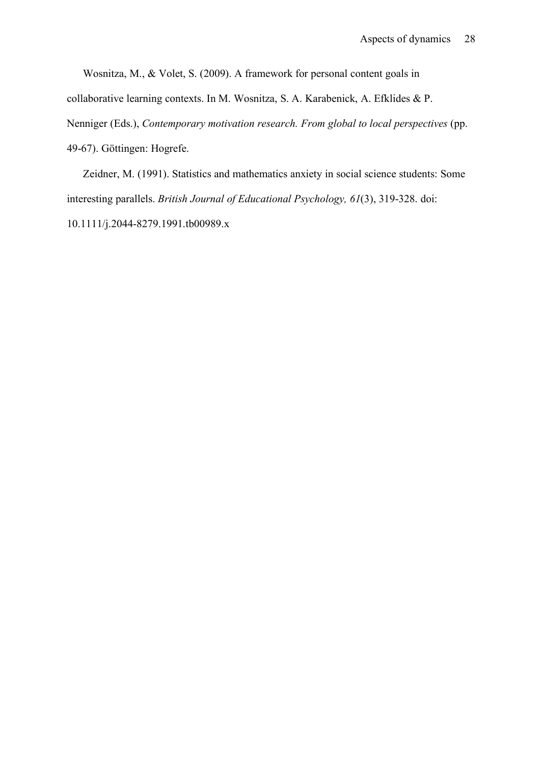Wosnitza, M., & Volet, S. (2009). A framework for personal content goals in

collaborative learning contexts. In M. Wosnitza, S. A. Karabenick, A. Efklides & P.

Nenniger (Eds.), *Contemporary motivation research. From global to local perspectives* (pp. 49-67). Göttingen: Hogrefe.

Zeidner, M. (1991). Statistics and mathematics anxiety in social science students: Some interesting parallels. *British Journal of Educational Psychology, 61*(3), 319-328. doi: 10.1111/j.2044-8279.1991.tb00989.x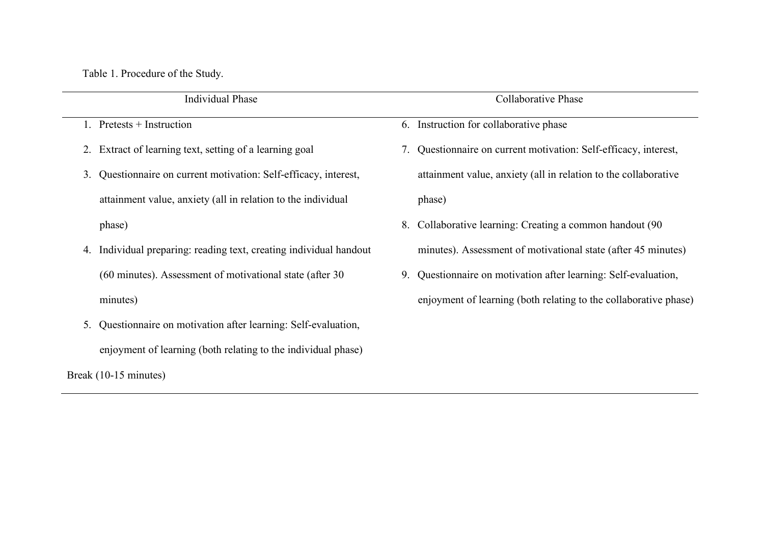Table 1. Procedure of the Study.

| <b>Individual Phase</b>                                             | Collaborative Phase                                                |
|---------------------------------------------------------------------|--------------------------------------------------------------------|
| Pretests + Instruction                                              | Instruction for collaborative phase<br>6.                          |
| 2. Extract of learning text, setting of a learning goal             | 7. Questionnaire on current motivation: Self-efficacy, interest,   |
| Questionnaire on current motivation: Self-efficacy, interest,<br>3. | attainment value, anxiety (all in relation to the collaborative    |
| attainment value, anxiety (all in relation to the individual        | phase)                                                             |
| phase)                                                              | Collaborative learning: Creating a common handout (90)<br>8.       |
| 4. Individual preparing: reading text, creating individual handout  | minutes). Assessment of motivational state (after 45 minutes)      |
| (60 minutes). Assessment of motivational state (after 30            | Questionnaire on motivation after learning: Self-evaluation,<br>9. |
| minutes)                                                            | enjoyment of learning (both relating to the collaborative phase)   |
| Questionnaire on motivation after learning: Self-evaluation,<br>5.  |                                                                    |
| enjoyment of learning (both relating to the individual phase)       |                                                                    |

Break (10-15 minutes)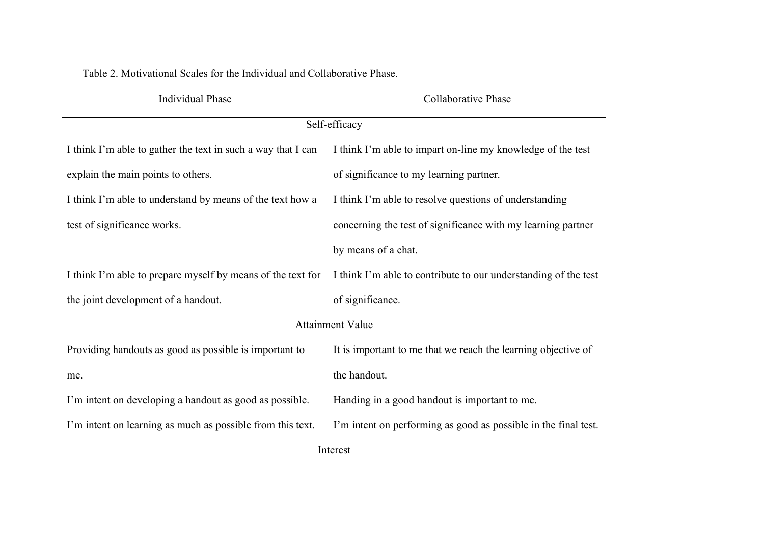| Table 2. Motivational Scales for the Individual and Collaborative Phase. |  |  |  |  |
|--------------------------------------------------------------------------|--|--|--|--|
|--------------------------------------------------------------------------|--|--|--|--|

| <b>Individual Phase</b>                                      | <b>Collaborative Phase</b>                                      |  |  |  |  |
|--------------------------------------------------------------|-----------------------------------------------------------------|--|--|--|--|
| Self-efficacy                                                |                                                                 |  |  |  |  |
| I think I'm able to gather the text in such a way that I can | I think I'm able to impart on-line my knowledge of the test     |  |  |  |  |
| explain the main points to others.                           | of significance to my learning partner.                         |  |  |  |  |
| I think I'm able to understand by means of the text how a    | I think I'm able to resolve questions of understanding          |  |  |  |  |
| test of significance works.                                  | concerning the test of significance with my learning partner    |  |  |  |  |
|                                                              | by means of a chat.                                             |  |  |  |  |
| I think I'm able to prepare myself by means of the text for  | I think I'm able to contribute to our understanding of the test |  |  |  |  |
| the joint development of a handout.                          | of significance.                                                |  |  |  |  |
|                                                              | <b>Attainment Value</b>                                         |  |  |  |  |
| Providing handouts as good as possible is important to       | It is important to me that we reach the learning objective of   |  |  |  |  |
| me.                                                          | the handout.                                                    |  |  |  |  |
| I'm intent on developing a handout as good as possible.      | Handing in a good handout is important to me.                   |  |  |  |  |
| I'm intent on learning as much as possible from this text.   | I'm intent on performing as good as possible in the final test. |  |  |  |  |
|                                                              | Interest                                                        |  |  |  |  |
|                                                              |                                                                 |  |  |  |  |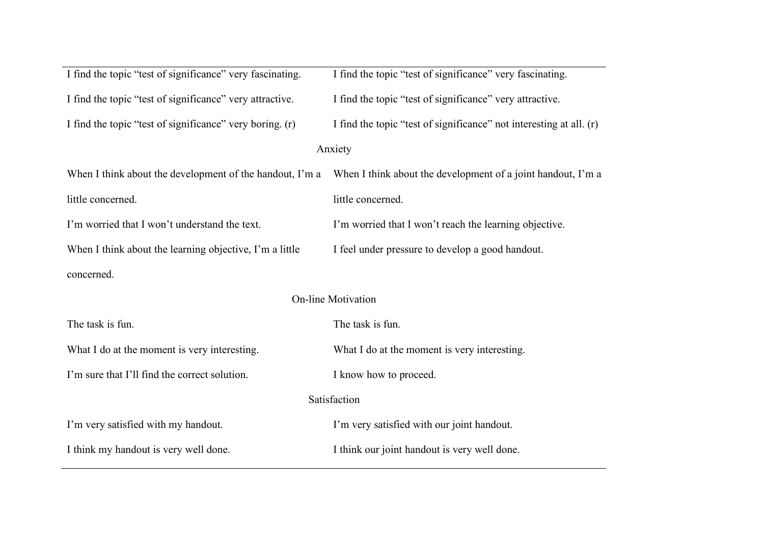| I find the topic "test of significance" very fascinating. | I find the topic "test of significance" very fascinating.           |  |  |  |  |
|-----------------------------------------------------------|---------------------------------------------------------------------|--|--|--|--|
| I find the topic "test of significance" very attractive.  | I find the topic "test of significance" very attractive.            |  |  |  |  |
| I find the topic "test of significance" very boring. (r)  | I find the topic "test of significance" not interesting at all. (r) |  |  |  |  |
|                                                           | Anxiety                                                             |  |  |  |  |
| When I think about the development of the handout, I'm a  | When I think about the development of a joint handout, I'm a        |  |  |  |  |
| little concerned.                                         | little concerned.                                                   |  |  |  |  |
| I'm worried that I won't understand the text.             | I'm worried that I won't reach the learning objective.              |  |  |  |  |
| When I think about the learning objective, I'm a little   | I feel under pressure to develop a good handout.                    |  |  |  |  |
| concerned.                                                |                                                                     |  |  |  |  |
| On-line Motivation                                        |                                                                     |  |  |  |  |
| The task is fun.                                          | The task is fun.                                                    |  |  |  |  |
| What I do at the moment is very interesting.              | What I do at the moment is very interesting.                        |  |  |  |  |
| I'm sure that I'll find the correct solution.             | I know how to proceed.                                              |  |  |  |  |
| Satisfaction                                              |                                                                     |  |  |  |  |
| I'm very satisfied with my handout.                       | I'm very satisfied with our joint handout.                          |  |  |  |  |
| I think my handout is very well done.                     | I think our joint handout is very well done.                        |  |  |  |  |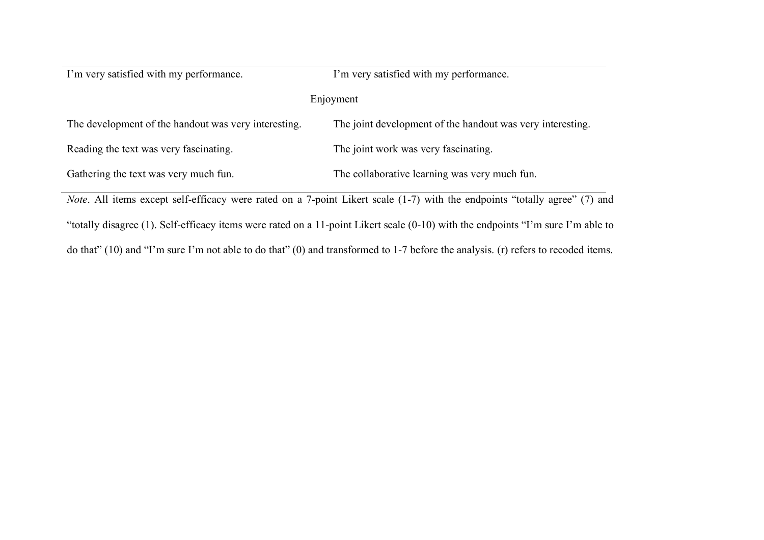| I'm very satisfied with my performance.              | I'm very satisfied with my performance.                    |  |  |  |
|------------------------------------------------------|------------------------------------------------------------|--|--|--|
|                                                      | Enjoyment                                                  |  |  |  |
| The development of the handout was very interesting. | The joint development of the handout was very interesting. |  |  |  |
| Reading the text was very fascinating.               | The joint work was very fascinating.                       |  |  |  |
| Gathering the text was very much fun.                | The collaborative learning was very much fun.              |  |  |  |
|                                                      |                                                            |  |  |  |

*Note*. All items except self-efficacy were rated on a 7-point Likert scale (1-7) with the endpoints "totally agree" (7) and "totally disagree (1). Self-efficacy items were rated on a 11-point Likert scale (0-10) with the endpoints "I'm sure I'm able to do that" (10) and "I'm sure I'm not able to do that" (0) and transformed to 1-7 before the analysis. (r) refers to recoded items.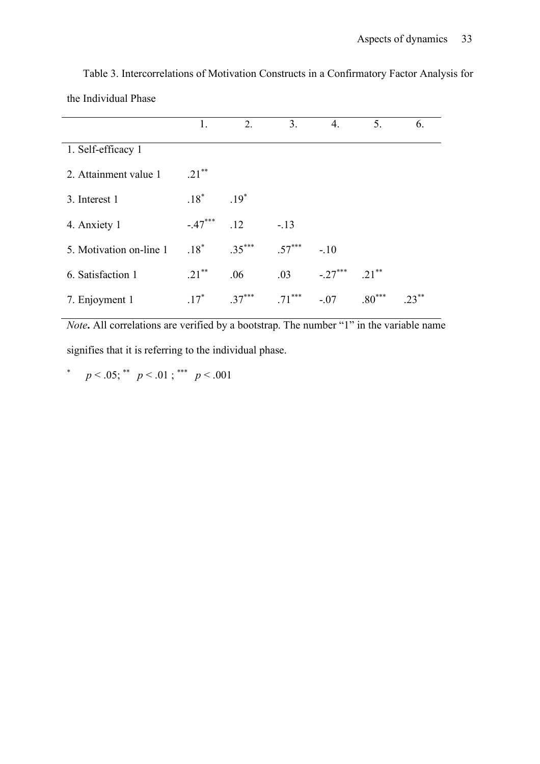|                         | 1.        | 2.       | 3.       | 4.        | 5.       | 6. |
|-------------------------|-----------|----------|----------|-----------|----------|----|
| 1. Self-efficacy 1      |           |          |          |           |          |    |
| 2. Attainment value 1   | $.21***$  |          |          |           |          |    |
| 3. Interest 1           | $.18*$    | $.19*$   |          |           |          |    |
| 4. Anxiety 1            | $-.47***$ | .12      | $-.13$   |           |          |    |
| 5. Motivation on-line 1 | $.18^*$   | $.35***$ | $.57***$ | $-.10$    |          |    |
| 6. Satisfaction 1       | $.21***$  | .06      | .03      | $-.27***$ | $.21***$ |    |
| 7. Enjoyment 1          | $.17*$    | $.37***$ | $.71***$ | $-.07$    | $.80***$ |    |

Table 3. Intercorrelations of Motivation Constructs in a Confirmatory Factor Analysis for the Individual Phase

*Note*. All correlations are verified by a bootstrap. The number "1" in the variable name signifies that it is referring to the individual phase.

\*  $p < .05$ ; \*\*  $p < .01$ ; \*\*\*  $p < .001$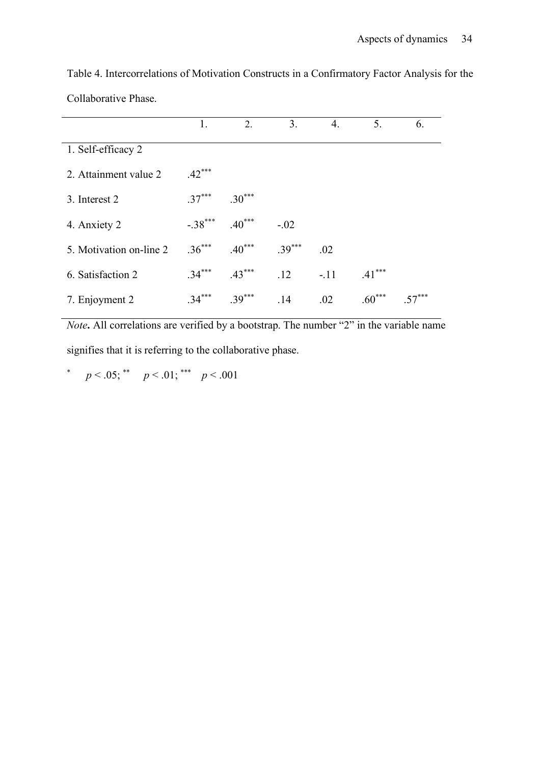|                         | 1.        | 2.       | 3.       | 4.     | 5.       | 6.      |
|-------------------------|-----------|----------|----------|--------|----------|---------|
| 1. Self-efficacy 2      |           |          |          |        |          |         |
| 2. Attainment value 2   | $.42***$  |          |          |        |          |         |
| 3. Interest 2           | $.37***$  | $.30***$ |          |        |          |         |
| 4. Anxiety 2            | $-.38***$ | $.40***$ | $-.02$   |        |          |         |
| 5. Motivation on-line 2 | $.36***$  | $.40***$ | $.39***$ | .02    |          |         |
| 6. Satisfaction 2       | $.34***$  | $.43***$ | .12      | $-.11$ | $.41***$ |         |
| 7. Enjoyment 2          | $.34***$  | $.39***$ | .14      | .02    | $.60***$ | $57***$ |

Table 4. Intercorrelations of Motivation Constructs in a Confirmatory Factor Analysis for the Collaborative Phase.

*Note*. All correlations are verified by a bootstrap. The number "2" in the variable name signifies that it is referring to the collaborative phase.

\*  $p < .05$ ; \*\*  $p < .01$ ; \*\*\*  $p < .001$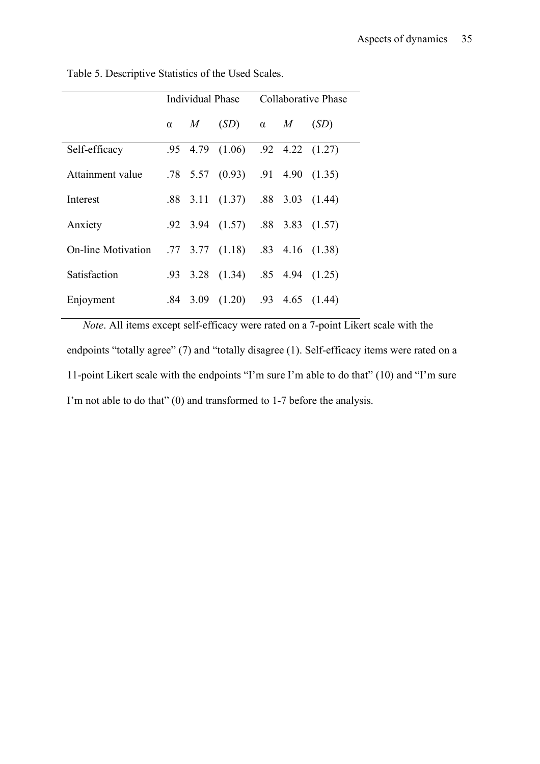|                           | Individual Phase |   |                                            | Collaborative Phase |  |                     |
|---------------------------|------------------|---|--------------------------------------------|---------------------|--|---------------------|
|                           | $\alpha$         | M | (SD)                                       | $\alpha$ $M$        |  | (SD)                |
| Self-efficacy             |                  |   | .95 4.79 (1.06) .92 4.22 (1.27)            |                     |  |                     |
| Attainment value          |                  |   | $.78$ 5.57 (0.93) $.91$ 4.90 (1.35)        |                     |  |                     |
| Interest                  | .88              |   | 3.11 $(1.37)$ .88 3.03 $(1.44)$            |                     |  |                     |
| Anxiety                   |                  |   | .92 3.94 (1.57) .88 3.83 (1.57)            |                     |  |                     |
| <b>On-line Motivation</b> |                  |   | $.77$ $.37$ $(1.18)$ $.83$ $.416$ $(1.38)$ |                     |  |                     |
| Satisfaction              | .93              |   | $3.28$ $(1.34)$                            |                     |  | $.85$ 4.94 $(1.25)$ |
| Enjoyment                 | .84              |   | 3.09 $(1.20)$ .93 4.65 $(1.44)$            |                     |  |                     |

Table 5. Descriptive Statistics of the Used Scales.

*Note*. All items except self-efficacy were rated on a 7-point Likert scale with the endpoints "totally agree" (7) and "totally disagree (1). Self-efficacy items were rated on a 11-point Likert scale with the endpoints "I'm sure I'm able to do that" (10) and "I'm sure I'm not able to do that" (0) and transformed to 1-7 before the analysis.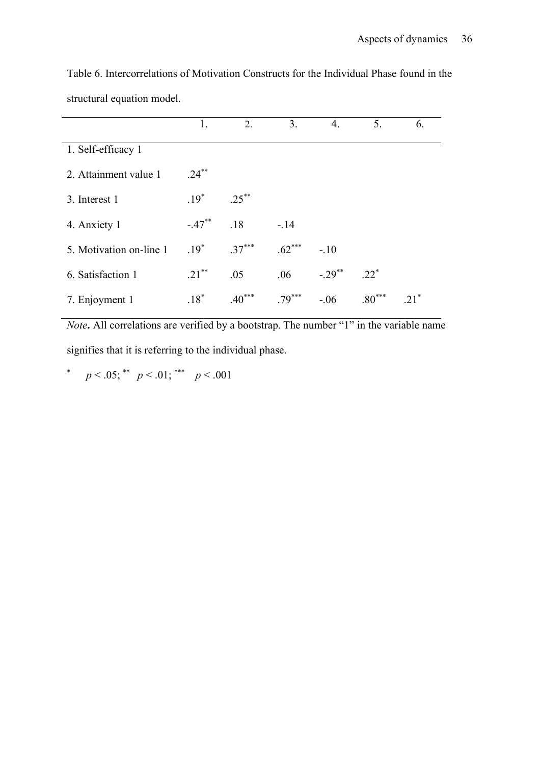|                         | 1.        | 2.                     | 3.       | 4.        | 5.       | 6. |
|-------------------------|-----------|------------------------|----------|-----------|----------|----|
| 1. Self-efficacy 1      |           |                        |          |           |          |    |
| 2. Attainment value 1   | $.24***$  |                        |          |           |          |    |
| 3. Interest 1           | $.19*$    | $.25***$               |          |           |          |    |
| 4. Anxiety 1            | $-.47***$ | .18                    | $-.14$   |           |          |    |
| 5. Motivation on-line 1 | $.19*$    | $.37***$               | $.62***$ | $-.10$    |          |    |
| 6. Satisfaction 1       | $.21***$  | .05                    | .06      | $-.29***$ | $.22*$   |    |
| 7. Enjoyment 1          | $.18*$    | ***<br>.4 <sub>0</sub> | $.79***$ | $-.06$    | $.80***$ |    |

Table 6. Intercorrelations of Motivation Constructs for the Individual Phase found in the structural equation model.

*Note*. All correlations are verified by a bootstrap. The number "1" in the variable name signifies that it is referring to the individual phase.

\*  $p < .05$ ; \*\*  $p < .01$ ; \*\*\*  $p < .001$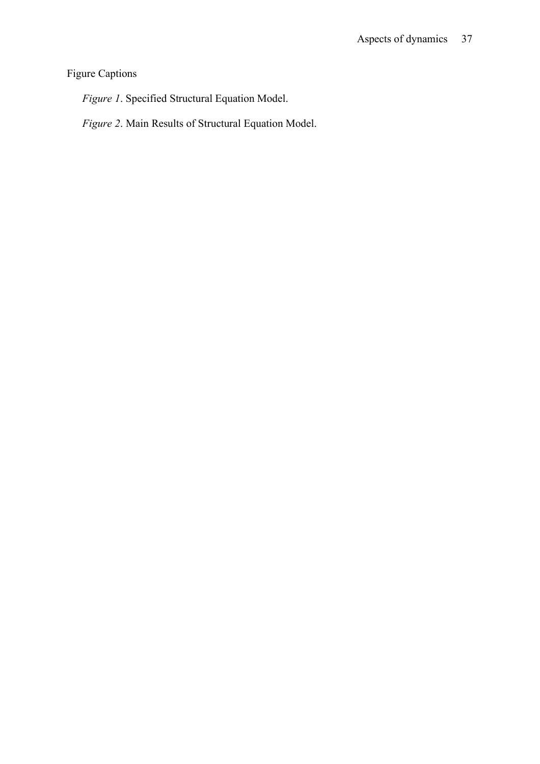## Figure Captions

*Figure 1*. Specified Structural Equation Model.

*Figure 2*. Main Results of Structural Equation Model.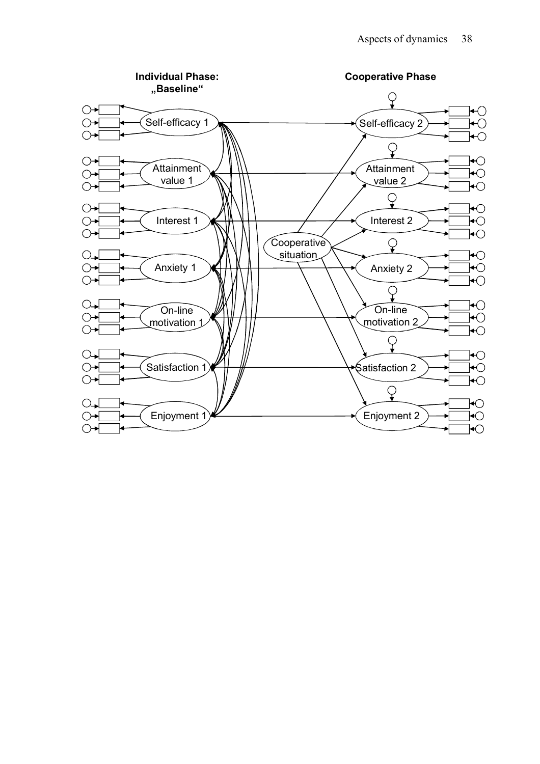